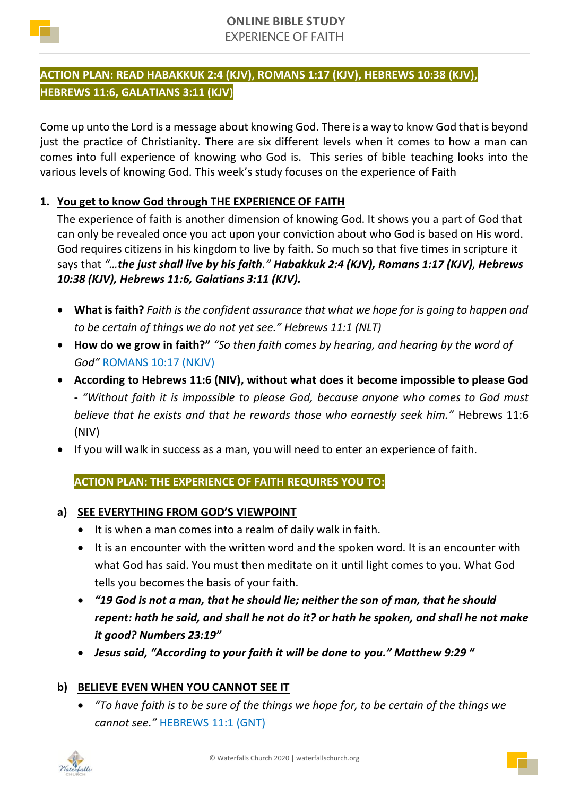

# **ACTION PLAN: READ HABAKKUK 2:4 (KJV), ROMANS 1:17 (KJV), HEBREWS 10:38 (KJV), HEBREWS 11:6, GALATIANS 3:11 (KJV)**

Come up unto the Lord is a message about knowing God. There is a way to know God that is beyond just the practice of Christianity. There are six different levels when it comes to how a man can comes into full experience of knowing who God is. This series of bible teaching looks into the various levels of knowing God. This week's study focuses on the experience of Faith

# **1. You get to know God through THE EXPERIENCE OF FAITH**

The experience of faith is another dimension of knowing God. It shows you a part of God that can only be revealed once you act upon your conviction about who God is based on His word. God requires citizens in his kingdom to live by faith. So much so that five times in scripture it says that *"…the just shall live by his faith." Habakkuk 2:4 (KJV), Romans 1:17 (KJV), Hebrews 10:38 (KJV), Hebrews 11:6, Galatians 3:11 (KJV).*

- **What is faith?** *Faith is the confident assurance that what we hope for is going to happen and to be certain of things we do not yet see." Hebrews 11:1 (NLT)*
- **How do we grow in faith?"** *"So then faith comes by hearing, and hearing by the word of God"* ROMANS 10:17 (NKJV)
- **According to Hebrews 11:6 (NIV), without what does it become impossible to please God -** *"Without faith it is impossible to please God, because anyone who comes to God must believe that he exists and that he rewards those who earnestly seek him."* Hebrews 11:6 (NIV)
- If you will walk in success as a man, you will need to enter an experience of faith.

**ACTION PLAN: THE EXPERIENCE OF FAITH REQUIRES YOU TO:**

- **a) SEE EVERYTHING FROM GOD'S VIEWPOINT**
	- It is when a man comes into a realm of daily walk in faith.
	- It is an encounter with the written word and the spoken word. It is an encounter with what God has said. You must then meditate on it until light comes to you. What God tells you becomes the basis of your faith.
	- *"19 God is not a man, that he should lie; neither the son of man, that he should repent: hath he said, and shall he not do it? or hath he spoken, and shall he not make it good? Numbers 23:19"*
	- *Jesus said, "According to your faith it will be done to you." Matthew 9:29 "*

## **b) BELIEVE EVEN WHEN YOU CANNOT SEE IT**

• *"To have faith is to be sure of the things we hope for, to be certain of the things we cannot see."* HEBREWS 11:1 (GNT)